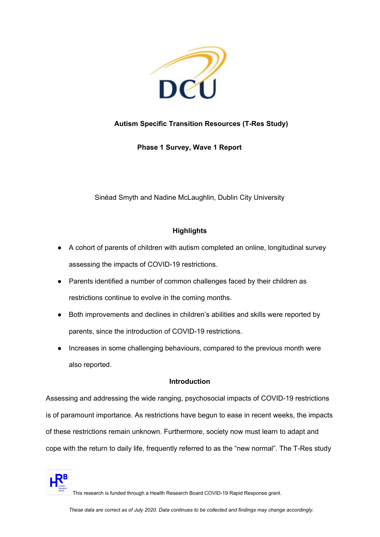

# **Autism Specific Transition Resources (T-Res Study)**

**Phase 1 Survey, Wave 1 Report**

Sinéad Smyth and Nadine McLaughlin, Dublin City University

## **Highlights**

- A cohort of parents of children with autism completed an online, longitudinal survey assessing the impacts of COVID-19 restrictions.
- Parents identified a number of common challenges faced by their children as restrictions continue to evolve in the coming months.
- Both improvements and declines in children's abilities and skills were reported by parents, since the introduction of COVID-19 restrictions.
- Increases in some challenging behaviours, compared to the previous month were also reported.

### **Introduction**

Assessing and addressing the wide ranging, psychosocial impacts of COVID-19 restrictions is of paramount importance. As restrictions have begun to ease in recent weeks, the impacts of these restrictions remain unknown. Furthermore, society now must learn to adapt and cope with the return to daily life, frequently referred to as the "new normal". The T-Res study



This research is funded through a Health Research Board COVID-19 Rapid Response grant.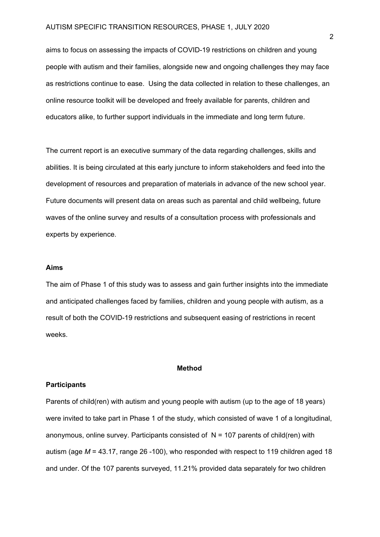aims to focus on assessing the impacts of COVID-19 restrictions on children and young people with autism and their families, alongside new and ongoing challenges they may face as restrictions continue to ease. Using the data collected in relation to these challenges, an online resource toolkit will be developed and freely available for parents, children and educators alike, to further support individuals in the immediate and long term future.

The current report is an executive summary of the data regarding challenges, skills and abilities. It is being circulated at this early juncture to inform stakeholders and feed into the development of resources and preparation of materials in advance of the new school year. Future documents will present data on areas such as parental and child wellbeing, future waves of the online survey and results of a consultation process with professionals and experts by experience.

#### **Aims**

The aim of Phase 1 of this study was to assess and gain further insights into the immediate and anticipated challenges faced by families, children and young people with autism, as a result of both the COVID-19 restrictions and subsequent easing of restrictions in recent weeks.

#### **Method**

#### **Participants**

Parents of child(ren) with autism and young people with autism (up to the age of 18 years) were invited to take part in Phase 1 of the study, which consisted of wave 1 of a longitudinal, anonymous, online survey. Participants consisted of  $N = 107$  parents of child(ren) with autism (age *M* = 43.17, range 26 -100), who responded with respect to 119 children aged 18 and under. Of the 107 parents surveyed, 11.21% provided data separately for two children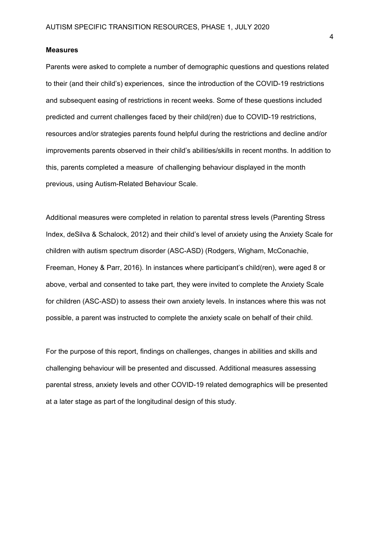#### **Measures**

Parents were asked to complete a number of demographic questions and questions related to their (and their child's) experiences, since the introduction of the COVID-19 restrictions and subsequent easing of restrictions in recent weeks. Some of these questions included predicted and current challenges faced by their child(ren) due to COVID-19 restrictions, resources and/or strategies parents found helpful during the restrictions and decline and/or improvements parents observed in their child's abilities/skills in recent months. In addition to this, parents completed a measure of challenging behaviour displayed in the month previous, using Autism-Related Behaviour Scale.

Additional measures were completed in relation to parental stress levels (Parenting Stress Index, deSilva & Schalock, 2012) and their child's level of anxiety using the Anxiety Scale for children with autism spectrum disorder (ASC-ASD) (Rodgers, Wigham, McConachie, Freeman, Honey & Parr, 2016). In instances where participant's child(ren), were aged 8 or above, verbal and consented to take part, they were invited to complete the Anxiety Scale for children (ASC-ASD) to assess their own anxiety levels. In instances where this was not possible, a parent was instructed to complete the anxiety scale on behalf of their child.

For the purpose of this report, findings on challenges, changes in abilities and skills and challenging behaviour will be presented and discussed. Additional measures assessing parental stress, anxiety levels and other COVID-19 related demographics will be presented at a later stage as part of the longitudinal design of this study.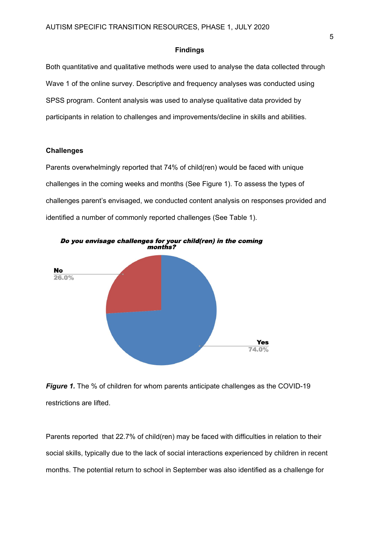#### **Findings**

Both quantitative and qualitative methods were used to analyse the data collected through Wave 1 of the online survey. Descriptive and frequency analyses was conducted using SPSS program. Content analysis was used to analyse qualitative data provided by participants in relation to challenges and improvements/decline in skills and abilities.

#### **Challenges**

Parents overwhelmingly reported that 74% of child(ren) would be faced with unique challenges in the coming weeks and months (See Figure 1). To assess the types of challenges parent's envisaged, we conducted content analysis on responses provided and identified a number of commonly reported challenges (See Table 1).



Do you envisage challenges for your child(ren) in the coming

*Figure 1.* The % of children for whom parents anticipate challenges as the COVID-19 restrictions are lifted.

Parents reported that 22.7% of child(ren) may be faced with difficulties in relation to their social skills, typically due to the lack of social interactions experienced by children in recent months. The potential return to school in September was also identified as a challenge for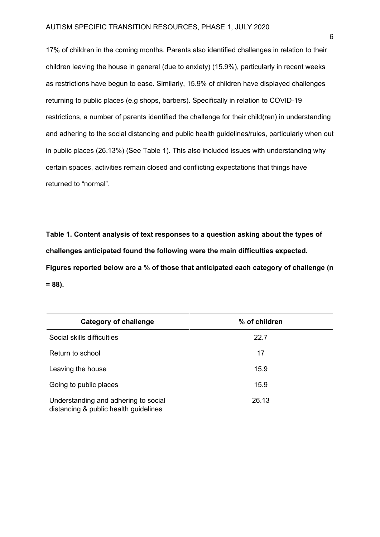17% of children in the coming months. Parents also identified challenges in relation to their children leaving the house in general (due to anxiety) (15.9%), particularly in recent weeks as restrictions have begun to ease. Similarly, 15.9% of children have displayed challenges returning to public places (e.g shops, barbers). Specifically in relation to COVID-19 restrictions, a number of parents identified the challenge for their child(ren) in understanding and adhering to the social distancing and public health guidelines/rules, particularly when out in public places (26.13%) (See Table 1). This also included issues with understanding why certain spaces, activities remain closed and conflicting expectations that things have returned to "normal".

**Table 1. Content analysis of text responses to a question asking about the types of challenges anticipated found the following were the main difficulties expected. Figures reported below are a % of those that anticipated each category of challenge (n = 88).**

| <b>Category of challenge</b>                                                  | % of children |
|-------------------------------------------------------------------------------|---------------|
| Social skills difficulties                                                    | 22.7          |
| Return to school                                                              | 17            |
| Leaving the house                                                             | 15.9          |
| Going to public places                                                        | 15.9          |
| Understanding and adhering to social<br>distancing & public health guidelines | 26.13         |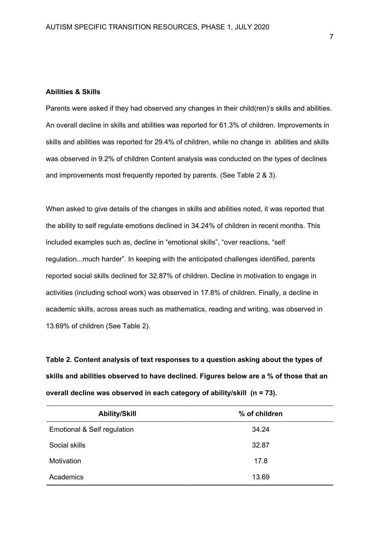#### **Abilities & Skills**

Parents were asked if they had observed any changes in their child(ren)'s skills and abilities. An overall decline in skills and abilities was reported for 61.3% of children. Improvements in skills and abilities was reported for 29.4% of children, while no change in abilities and skills was observed in 9.2% of children Content analysis was conducted on the types of declines and improvements most frequently reported by parents. (See Table 2 & 3).

When asked to give details of the changes in skills and abilities noted, it was reported that the ability to self regulate emotions declined in 34.24% of children in recent months. This included examples such as, decline in "emotional skills", "over reactions, "self regulation...much harder". In keeping with the anticipated challenges identified, parents reported social skills declined for 32.87% of children. Decline in motivation to engage in activities (including school work) was observed in 17.8% of children. Finally, a decline in academic skills, across areas such as mathematics, reading and writing, was observed in 13.69% of children (See Table 2).

**Table 2. Content analysis of text responses to a question asking about the types of skills and abilities observed to have declined. Figures below are a % of those that an overall decline was observed in each category of ability/skill (n = 73).**

| <b>Ability/Skill</b>        | % of children |
|-----------------------------|---------------|
| Emotional & Self regulation | 34.24         |
| Social skills               | 32.87         |
| Motivation                  | 17.8          |
| Academics                   | 13.69         |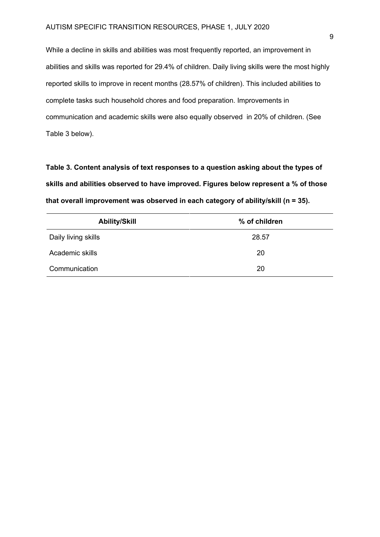While a decline in skills and abilities was most frequently reported, an improvement in abilities and skills was reported for 29.4% of children. Daily living skills were the most highly reported skills to improve in recent months (28.57% of children). This included abilities to complete tasks such household chores and food preparation. Improvements in communication and academic skills were also equally observed in 20% of children. (See Table 3 below).

**Table 3. Content analysis of text responses to a question asking about the types of skills and abilities observed to have improved. Figures below represent a % of those that overall improvement was observed in each category of ability/skill (n = 35).**

| <b>Ability/Skill</b> | % of children |
|----------------------|---------------|
| Daily living skills  | 28.57         |
| Academic skills      | 20            |
| Communication        | 20            |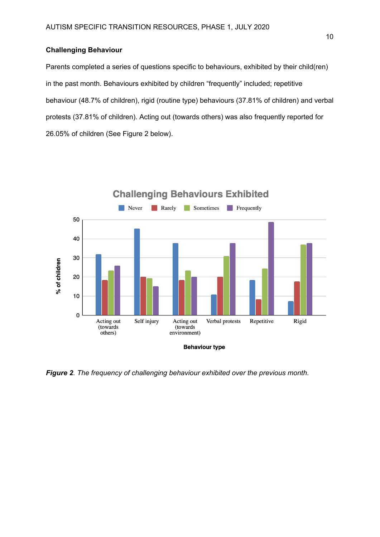### **Challenging Behaviour**

Parents completed a series of questions specific to behaviours, exhibited by their child(ren) in the past month. Behaviours exhibited by children "frequently" included; repetitive behaviour (48.7% of children), rigid (routine type) behaviours (37.81% of children) and verbal protests (37.81% of children). Acting out (towards others) was also frequently reported for 26.05% of children (See Figure 2 below).



*Figure 2. The frequency of challenging behaviour exhibited over the previous month.*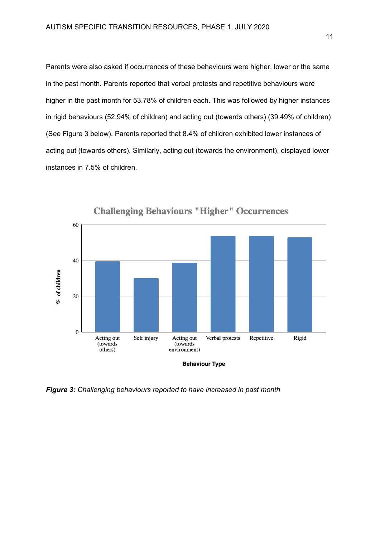Parents were also asked if occurrences of these behaviours were higher, lower or the same in the past month. Parents reported that verbal protests and repetitive behaviours were higher in the past month for 53.78% of children each. This was followed by higher instances in rigid behaviours (52.94% of children) and acting out (towards others) (39.49% of children) (See Figure 3 below). Parents reported that 8.4% of children exhibited lower instances of acting out (towards others). Similarly, acting out (towards the environment), displayed lower instances in 7.5% of children.



*Figure 3: Challenging behaviours reported to have increased in past month*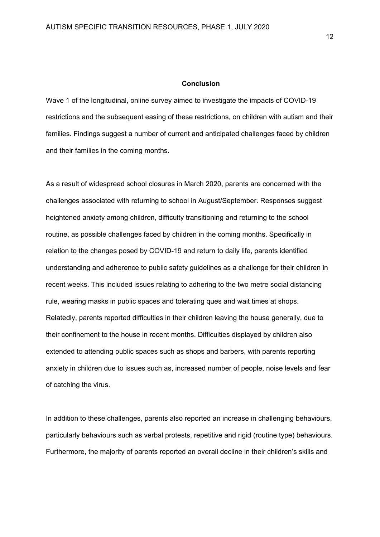#### **Conclusion**

Wave 1 of the longitudinal, online survey aimed to investigate the impacts of COVID-19 restrictions and the subsequent easing of these restrictions, on children with autism and their families. Findings suggest a number of current and anticipated challenges faced by children and their families in the coming months.

As a result of widespread school closures in March 2020, parents are concerned with the challenges associated with returning to school in August/September. Responses suggest heightened anxiety among children, difficulty transitioning and returning to the school routine, as possible challenges faced by children in the coming months. Specifically in relation to the changes posed by COVID-19 and return to daily life, parents identified understanding and adherence to public safety guidelines as a challenge for their children in recent weeks. This included issues relating to adhering to the two metre social distancing rule, wearing masks in public spaces and tolerating ques and wait times at shops. Relatedly, parents reported difficulties in their children leaving the house generally, due to their confinement to the house in recent months. Difficulties displayed by children also extended to attending public spaces such as shops and barbers, with parents reporting anxiety in children due to issues such as, increased number of people, noise levels and fear of catching the virus.

In addition to these challenges, parents also reported an increase in challenging behaviours, particularly behaviours such as verbal protests, repetitive and rigid (routine type) behaviours. Furthermore, the majority of parents reported an overall decline in their children's skills and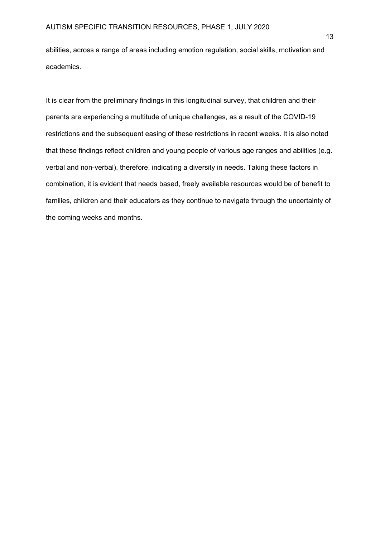abilities, across a range of areas including emotion regulation, social skills, motivation and academics.

It is clear from the preliminary findings in this longitudinal survey, that children and their parents are experiencing a multitude of unique challenges, as a result of the COVID-19 restrictions and the subsequent easing of these restrictions in recent weeks. It is also noted that these findings reflect children and young people of various age ranges and abilities (e.g. verbal and non-verbal), therefore, indicating a diversity in needs. Taking these factors in combination, it is evident that needs based, freely available resources would be of benefit to families, children and their educators as they continue to navigate through the uncertainty of the coming weeks and months.